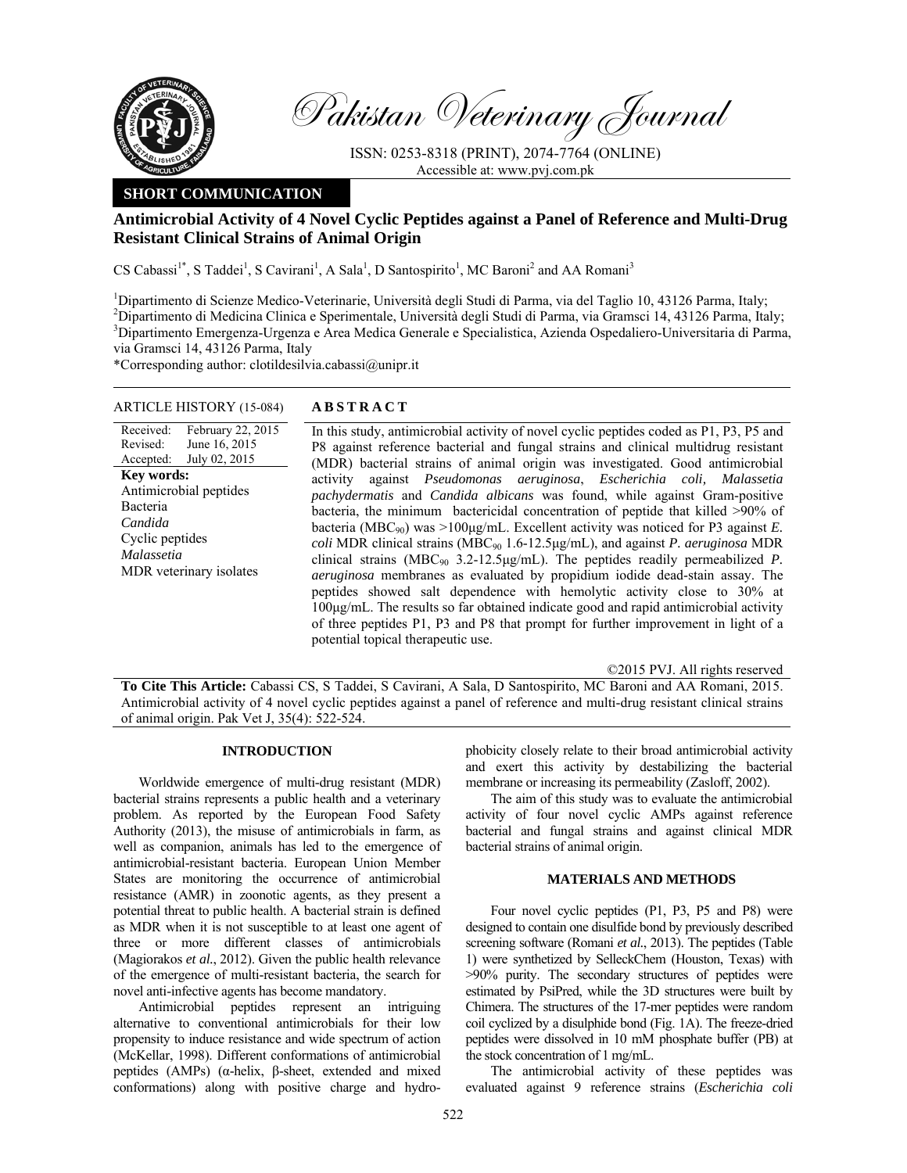

Pakistan Veterinary Journal

ISSN: 0253-8318 (PRINT), 2074-7764 (ONLINE) Accessible at: www.pvj.com.pk

## **SHORT COMMUNICATION**

# **Antimicrobial Activity of 4 Novel Cyclic Peptides against a Panel of Reference and Multi-Drug Resistant Clinical Strains of Animal Origin**

CS Cabassi<sup>1\*</sup>, S Taddei<sup>1</sup>, S Cavirani<sup>1</sup>, A Sala<sup>1</sup>, D Santospirito<sup>1</sup>, MC Baroni<sup>2</sup> and AA Romani<sup>3</sup>

<sup>1</sup>Dipartimento di Scienze Medico-Veterinarie, Università degli Studi di Parma, via del Taglio 10, 43126 Parma, Italy; 2 Dipartimento di Medicina Clinica e Sperimentale, Università degli Studi di Parma, via Gramsci 14, 43126 Parma, Italy; 3 Dipartimento Emergenza-Urgenza e Area Medica Generale e Specialistica, Azienda Ospedaliero-Universitaria di Parma, via Gramsci 14, 43126 Parma, Italy

\*Corresponding author: clotildesilvia.cabassi@unipr.it

## ARTICLE HISTORY (15-084) **ABSTRACT**

Received: Revised: Accepted: February 22, 2015 June 16, 2015 July 02, 2015 **Key words:**  Antimicrobial peptides Bacteria *Candida*  Cyclic peptides *Malassetia*  MDR veterinary isolates

 In this study, antimicrobial activity of novel cyclic peptides coded as P1, P3, P5 and P8 against reference bacterial and fungal strains and clinical multidrug resistant (MDR) bacterial strains of animal origin was investigated. Good antimicrobial activity against *Pseudomonas aeruginosa*, *Escherichia coli, Malassetia pachydermatis* and *Candida albicans* was found, while against Gram-positive bacteria, the minimum bactericidal concentration of peptide that killed >90% of bacteria (MBC<sub>90</sub>) was  $>100\mu$ g/mL. Excellent activity was noticed for P3 against *E*. *coli* MDR clinical strains (MBC90 1.6-12.5µg/mL), and against *P. aeruginosa* MDR clinical strains (MBC90 3.2-12.5µg/mL). The peptides readily permeabilized *P. aeruginosa* membranes as evaluated by propidium iodide dead-stain assay. The peptides showed salt dependence with hemolytic activity close to 30% at 100µg/mL. The results so far obtained indicate good and rapid antimicrobial activity of three peptides P1, P3 and P8 that prompt for further improvement in light of a potential topical therapeutic use.

©2015 PVJ. All rights reserved

**To Cite This Article:** Cabassi CS, S Taddei, S Cavirani, A Sala, D Santospirito, MC Baroni and AA Romani, 2015. Antimicrobial activity of 4 novel cyclic peptides against a panel of reference and multi-drug resistant clinical strains of animal origin. Pak Vet J, 35(4): 522-524.

### **INTRODUCTION**

Worldwide emergence of multi-drug resistant (MDR) bacterial strains represents a public health and a veterinary problem. As reported by the European Food Safety Authority (2013), the misuse of antimicrobials in farm, as well as companion, animals has led to the emergence of antimicrobial-resistant bacteria. European Union Member States are monitoring the occurrence of antimicrobial resistance (AMR) in zoonotic agents, as they present a potential threat to public health. A bacterial strain is defined as MDR when it is not susceptible to at least one agent of three or more different classes of antimicrobials (Magiorakos *et al.*, 2012). Given the public health relevance of the emergence of multi-resistant bacteria, the search for novel anti-infective agents has become mandatory.

Antimicrobial peptides represent an intriguing alternative to conventional antimicrobials for their low propensity to induce resistance and wide spectrum of action (McKellar, 1998). Different conformations of antimicrobial peptides (AMPs) (α-helix, β-sheet, extended and mixed conformations) along with positive charge and hydrophobicity closely relate to their broad antimicrobial activity and exert this activity by destabilizing the bacterial membrane or increasing its permeability (Zasloff, 2002).

The aim of this study was to evaluate the antimicrobial activity of four novel cyclic AMPs against reference bacterial and fungal strains and against clinical MDR bacterial strains of animal origin.

### **MATERIALS AND METHODS**

Four novel cyclic peptides (P1, P3, P5 and P8) were designed to contain one disulfide bond by previously described screening software (Romani *et al.*, 2013). The peptides (Table 1) were synthetized by SelleckChem (Houston, Texas) with >90% purity. The secondary structures of peptides were estimated by PsiPred, while the 3D structures were built by Chimera. The structures of the 17-mer peptides were random coil cyclized by a disulphide bond (Fig. 1A). The freeze-dried peptides were dissolved in 10 mM phosphate buffer (PB) at the stock concentration of 1 mg/mL.

The antimicrobial activity of these peptides was evaluated against 9 reference strains (*Escherichia coli*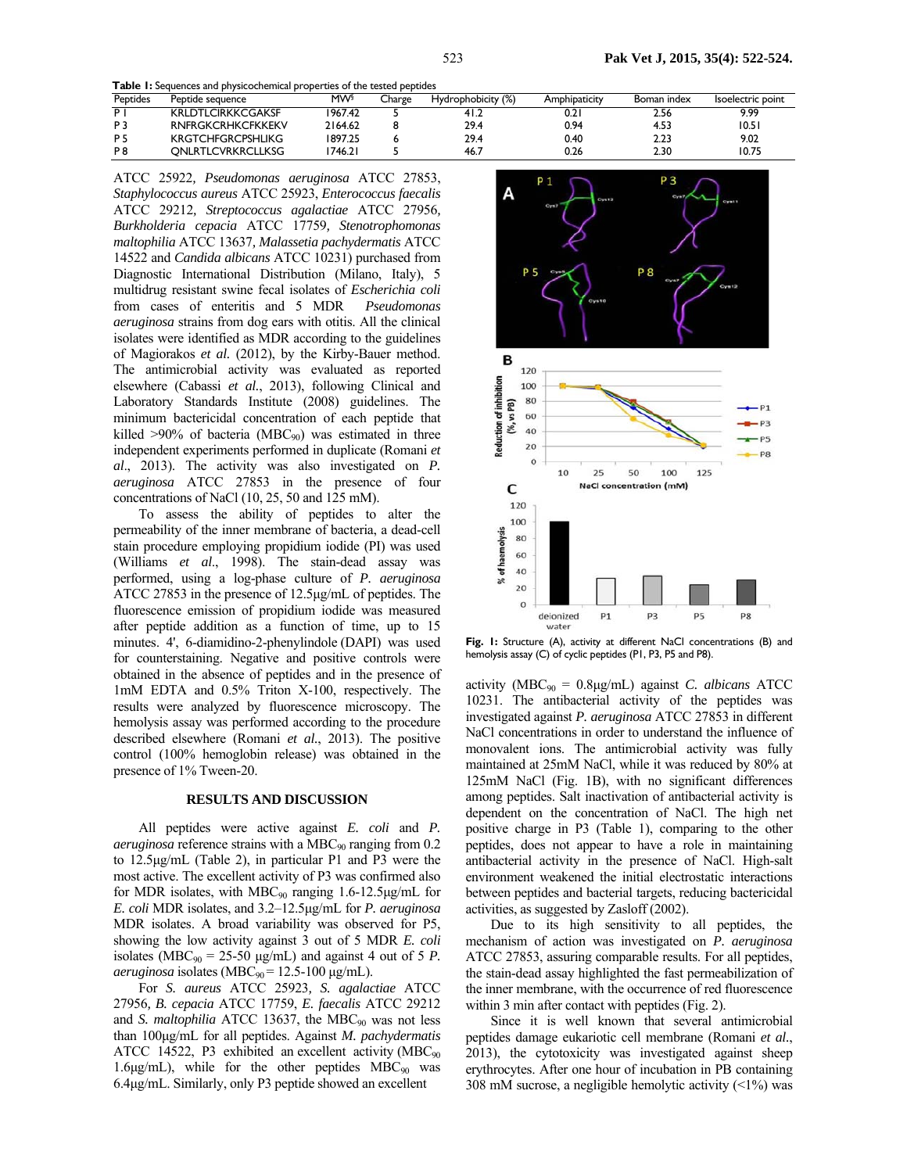**Table 1:** Sequences and physicochemical properties of the tested peptides

| <b>Peptides</b> | Peptide sequence         | <b>MW</b> | Charge | Hydrophobicity (%) | Amphipaticity | Boman index | Isoelectric point |
|-----------------|--------------------------|-----------|--------|--------------------|---------------|-------------|-------------------|
| P.              | <b>KRLDTLCIRKKCGAKSF</b> | 1967.42   |        | 41.2               | 0.2           | 2.56        | 9.99              |
| P <sub>3</sub>  | <b>RNFRGKCRHKCFKKEKV</b> | 2164.62   |        | 29.4               | 0.94          | 4.53        | 10.51             |
| <b>P5</b>       | <b>KRGTCHFGRCPSHLIKG</b> | 1897.25   |        | 29.4               | 0.40          | 2.23        | 9.02              |
| P8              | ONLRTLCVRKRCLLKSG        | 1746.21   |        | 46.7               | 0.26          | 2.30        | 10.75             |

ATCC 25922*, Pseudomonas aeruginosa* ATCC 27853, *Staphylococcus aureus* ATCC 25923, *Enterococcus faecalis*  ATCC 29212*, Streptococcus agalactiae* ATCC 27956*, Burkholderia cepacia* ATCC 17759*, Stenotrophomonas maltophilia* ATCC 13637*, Malassetia pachydermatis* ATCC 14522 and *Candida albicans* ATCC 10231) purchased from Diagnostic International Distribution (Milano, Italy), 5 multidrug resistant swine fecal isolates of *Escherichia coli* from cases of enteritis and 5 MDR *Pseudomonas aeruginosa* strains from dog ears with otitis. All the clinical isolates were identified as MDR according to the guidelines of Magiorakos *et al.* (2012), by the Kirby-Bauer method. The antimicrobial activity was evaluated as reported elsewhere (Cabassi *et al.*, 2013), following Clinical and Laboratory Standards Institute (2008) guidelines. The minimum bactericidal concentration of each peptide that killed  $>90\%$  of bacteria (MBC<sub>90</sub>) was estimated in three independent experiments performed in duplicate (Romani *et al*., 2013). The activity was also investigated on *P. aeruginosa* ATCC 27853 in the presence of four concentrations of NaCl (10, 25, 50 and 125 mM).

To assess the ability of peptides to alter the permeability of the inner membrane of bacteria, a dead-cell stain procedure employing propidium iodide (PI) was used (Williams *et al*., 1998). The stain-dead assay was performed, using a log-phase culture of *P. aeruginosa*  ATCC 27853 in the presence of 12.5µg/mL of peptides. The fluorescence emission of propidium iodide was measured after peptide addition as a function of time, up to 15 minutes. 4', 6-diamidino-2-phenylindole (DAPI) was used for counterstaining. Negative and positive controls were obtained in the absence of peptides and in the presence of 1mM EDTA and 0.5% Triton X-100, respectively. The results were analyzed by fluorescence microscopy. The hemolysis assay was performed according to the procedure described elsewhere (Romani *et al.*, 2013). The positive control (100% hemoglobin release) was obtained in the presence of 1% Tween-20.

#### **RESULTS AND DISCUSSION**

All peptides were active against *E. coli* and *P. aeruginosa* reference strains with a MBC<sub>90</sub> ranging from 0.2 to 12.5µg/mL (Table 2), in particular P1 and P3 were the most active. The excellent activity of P3 was confirmed also for MDR isolates, with  $MBC_{90}$  ranging 1.6-12.5µg/mL for *E. coli* MDR isolates, and 3.2–12.5µg/mL for *P. aeruginosa* MDR isolates. A broad variability was observed for P5, showing the low activity against 3 out of 5 MDR *E. coli* isolates (MBC<sub>90</sub> = 25-50  $\mu$ g/mL) and against 4 out of 5 *P*.  $a$ *eruginosa* isolates (MBC<sub>90</sub> = 12.5-100  $\mu$ g/mL).

For *S. aureus* ATCC 25923*, S. agalactiae* ATCC 27956*, B. cepacia* ATCC 17759, *E. faecalis* ATCC 29212 and *S. maltophilia* ATCC 13637, the MBC<sub>90</sub> was not less than 100µg/mL for all peptides. Against *M. pachydermatis*  ATCC 14522, P3 exhibited an excellent activity ( $MBC_{90}$ 1.6 $\mu$ g/mL), while for the other peptides MBC<sub>90</sub> was 6.4µg/mL. Similarly, only P3 peptide showed an excellent



Fig. I: Structure (A), activity at different NaCl concentrations (B) and hemolysis assay (C) of cyclic peptides (P1, P3, P5 and P8).

activity (MBC90 = 0.8µg/mL) against *C. albicans* ATCC 10231. The antibacterial activity of the peptides was investigated against *P. aeruginosa* ATCC 27853 in different NaCl concentrations in order to understand the influence of monovalent ions. The antimicrobial activity was fully maintained at 25mM NaCl, while it was reduced by 80% at 125mM NaCl (Fig. 1B), with no significant differences among peptides. Salt inactivation of antibacterial activity is dependent on the concentration of NaCl. The high net positive charge in P3 (Table 1), comparing to the other peptides, does not appear to have a role in maintaining antibacterial activity in the presence of NaCl. High-salt environment weakened the initial electrostatic interactions between peptides and bacterial targets, reducing bactericidal activities, as suggested by Zasloff (2002).

Due to its high sensitivity to all peptides, the mechanism of action was investigated on *P. aeruginosa*  ATCC 27853, assuring comparable results. For all peptides, the stain-dead assay highlighted the fast permeabilization of the inner membrane, with the occurrence of red fluorescence within 3 min after contact with peptides (Fig. 2).

Since it is well known that several antimicrobial peptides damage eukariotic cell membrane (Romani *et al.*, 2013), the cytotoxicity was investigated against sheep erythrocytes. After one hour of incubation in PB containing 308 mM sucrose, a negligible hemolytic activity  $(\leq 1\%)$  was